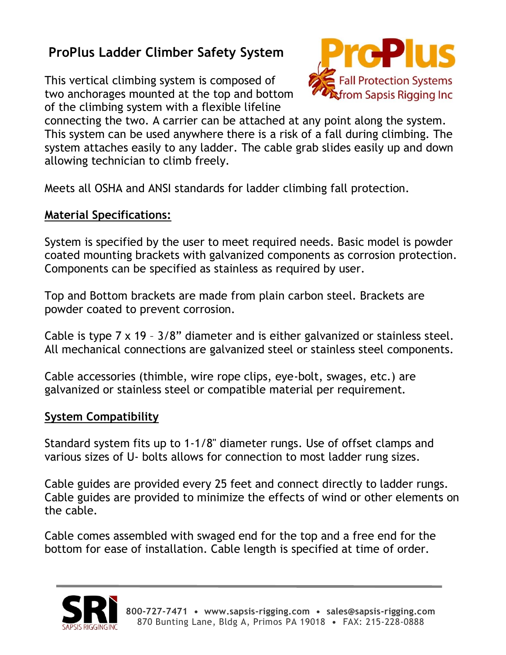# **ProPlus Ladder Climber Safety System**

This vertical climbing system is composed of two anchorages mounted at the top and bottom of the climbing system with a flexible lifeline



connecting the two. A carrier can be attached at any point along the system. This system can be used anywhere there is a risk of a fall during climbing. The system attaches easily to any ladder. The cable grab slides easily up and down allowing technician to climb freely.

Meets all OSHA and ANSI standards for ladder climbing fall protection.

## **Material Specifications:**

System is specified by the user to meet required needs. Basic model is powder coated mounting brackets with galvanized components as corrosion protection. Components can be specified as stainless as required by user.

Top and Bottom brackets are made from plain carbon steel. Brackets are powder coated to prevent corrosion.

Cable is type 7 x 19 – 3/8" diameter and is either galvanized or stainless steel. All mechanical connections are galvanized steel or stainless steel components.

Cable accessories (thimble, wire rope clips, eye-bolt, swages, etc.) are galvanized or stainless steel or compatible material per requirement.

#### **System Compatibility**

Standard system fits up to 1-1/8" diameter rungs. Use of offset clamps and various sizes of U- bolts allows for connection to most ladder rung sizes.

Cable guides are provided every 25 feet and connect directly to ladder rungs. Cable guides are provided to minimize the effects of wind or other elements on the cable.

Cable comes assembled with swaged end for the top and a free end for the bottom for ease of installation. Cable length is specified at time of order.

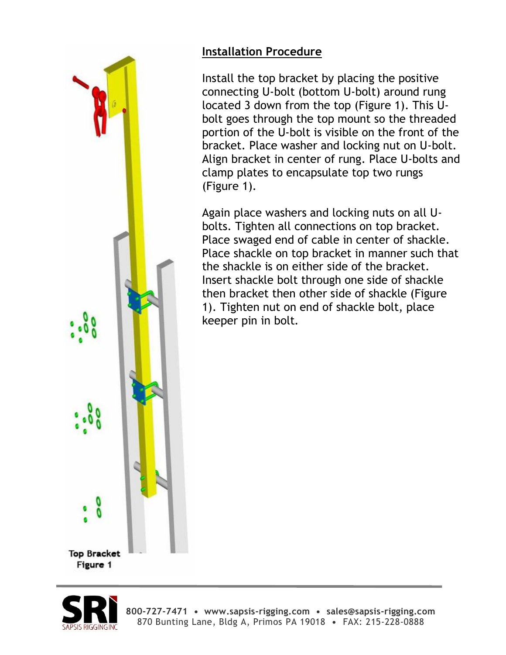

# **Installation Procedure**

Install the top bracket by placing the positive connecting U-bolt (bottom U-bolt) around rung located 3 down from the top (Figure 1). This Ubolt goes through the top mount so the threaded portion of the U-bolt is visible on the front of the bracket. Place washer and locking nut on U-bolt. Align bracket in center of rung. Place U-bolts and clamp plates to encapsulate top two rungs (Figure 1).

Again place washers and locking nuts on all Ubolts. Tighten all connections on top bracket. Place swaged end of cable in center of shackle. Place shackle on top bracket in manner such that the shackle is on either side of the bracket. Insert shackle bolt through one side of shackle then bracket then other side of shackle (Figure 1). Tighten nut on end of shackle bolt, place keeper pin in bolt.

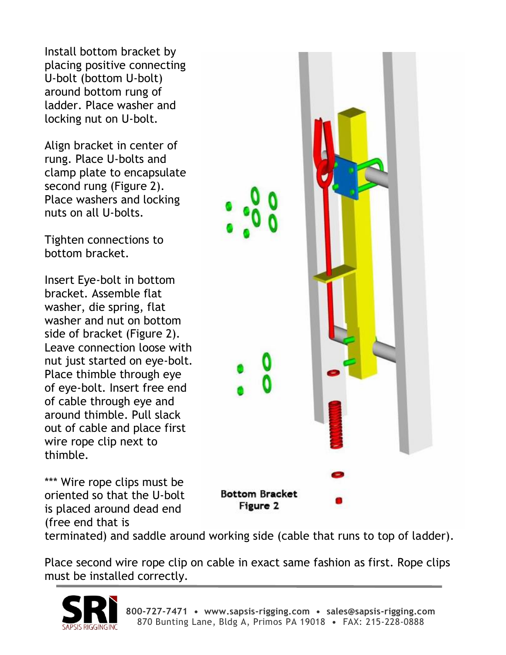Install bottom bracket by placing positive connecting U-bolt (bottom U-bolt) around bottom rung of ladder. Place washer and locking nut on U-bolt.

Align bracket in center of rung. Place U-bolts and clamp plate to encapsulate second rung (Figure 2). Place washers and locking nuts on all U-bolts.

Tighten connections to bottom bracket.

Insert Eye-bolt in bottom bracket. Assemble flat washer, die spring, flat washer and nut on bottom side of bracket (Figure 2). Leave connection loose with nut just started on eye-bolt. Place thimble through eye of eye-bolt. Insert free end of cable through eye and around thimble. Pull slack out of cable and place first wire rope clip next to thimble.

\*\*\* Wire rope clips must be oriented so that the U-bolt is placed around dead end (free end that is

**Bottom Bracket** Figure 2

terminated) and saddle around working side (cable that runs to top of ladder).

Place second wire rope clip on cable in exact same fashion as first. Rope clips must be installed correctly.

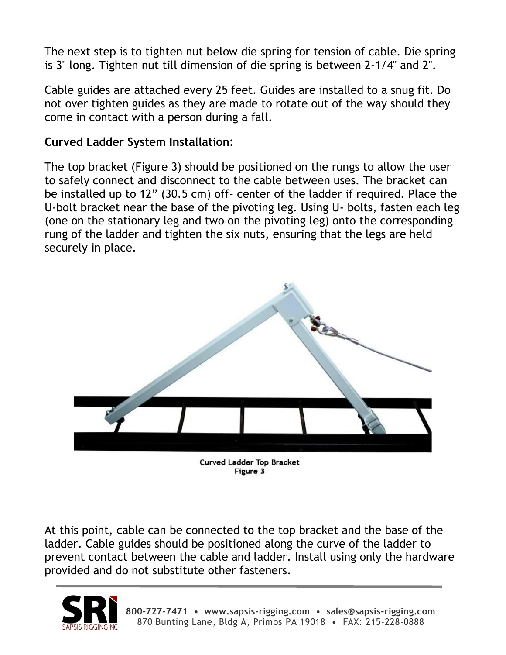The next step is to tighten nut below die spring for tension of cable. Die spring is 3" long. Tighten nut till dimension of die spring is between 2-1/4" and 2".

Cable guides are attached every 25 feet. Guides are installed to a snug fit. Do not over tighten guides as they are made to rotate out of the way should they come in contact with a person during a fall.

#### **Curved Ladder System Installation:**

The top bracket (Figure 3) should be positioned on the rungs to allow the user to safely connect and disconnect to the cable between uses. The bracket can be installed up to 12" (30.5 cm) off- center of the ladder if required. Place the U-bolt bracket near the base of the pivoting leg. Using U- bolts, fasten each leg (one on the stationary leg and two on the pivoting leg) onto the corresponding rung of the ladder and tighten the six nuts, ensuring that the legs are held securely in place.



Curved Ladder Top Bracket Figure 3

At this point, cable can be connected to the top bracket and the base of the ladder. Cable guides should be positioned along the curve of the ladder to prevent contact between the cable and ladder. Install using only the hardware provided and do not substitute other fasteners.

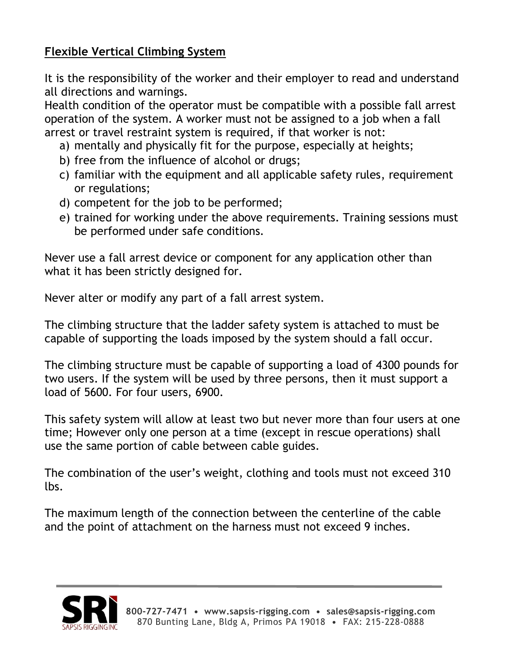# **Flexible Vertical Climbing System**

It is the responsibility of the worker and their employer to read and understand all directions and warnings.

Health condition of the operator must be compatible with a possible fall arrest operation of the system. A worker must not be assigned to a job when a fall arrest or travel restraint system is required, if that worker is not:

- a) mentally and physically fit for the purpose, especially at heights;
- b) free from the influence of alcohol or drugs;
- c) familiar with the equipment and all applicable safety rules, requirement or regulations;
- d) competent for the job to be performed;
- e) trained for working under the above requirements. Training sessions must be performed under safe conditions.

Never use a fall arrest device or component for any application other than what it has been strictly designed for.

Never alter or modify any part of a fall arrest system.

The climbing structure that the ladder safety system is attached to must be capable of supporting the loads imposed by the system should a fall occur.

The climbing structure must be capable of supporting a load of 4300 pounds for two users. If the system will be used by three persons, then it must support a load of 5600. For four users, 6900.

This safety system will allow at least two but never more than four users at one time; However only one person at a time (except in rescue operations) shall use the same portion of cable between cable guides.

The combination of the user's weight, clothing and tools must not exceed 310 lbs.

The maximum length of the connection between the centerline of the cable and the point of attachment on the harness must not exceed 9 inches.

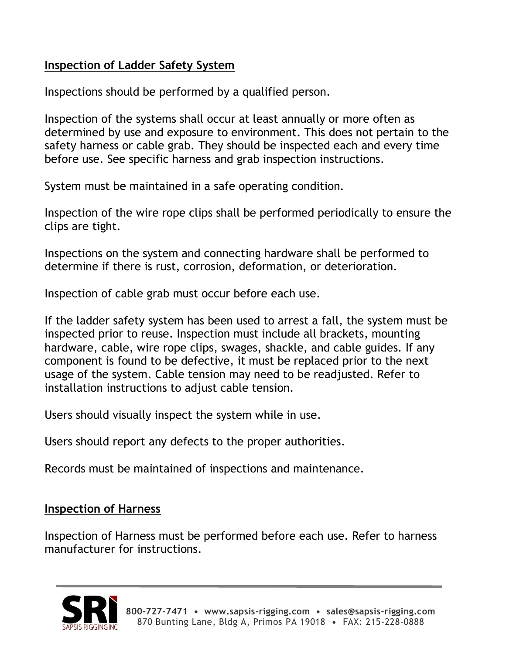# **Inspection of Ladder Safety System**

Inspections should be performed by a qualified person.

Inspection of the systems shall occur at least annually or more often as determined by use and exposure to environment. This does not pertain to the safety harness or cable grab. They should be inspected each and every time before use. See specific harness and grab inspection instructions.

System must be maintained in a safe operating condition.

Inspection of the wire rope clips shall be performed periodically to ensure the clips are tight.

Inspections on the system and connecting hardware shall be performed to determine if there is rust, corrosion, deformation, or deterioration.

Inspection of cable grab must occur before each use.

If the ladder safety system has been used to arrest a fall, the system must be inspected prior to reuse. Inspection must include all brackets, mounting hardware, cable, wire rope clips, swages, shackle, and cable guides. If any component is found to be defective, it must be replaced prior to the next usage of the system. Cable tension may need to be readjusted. Refer to installation instructions to adjust cable tension.

Users should visually inspect the system while in use.

Users should report any defects to the proper authorities.

Records must be maintained of inspections and maintenance.

## **Inspection of Harness**

Inspection of Harness must be performed before each use. Refer to harness manufacturer for instructions.

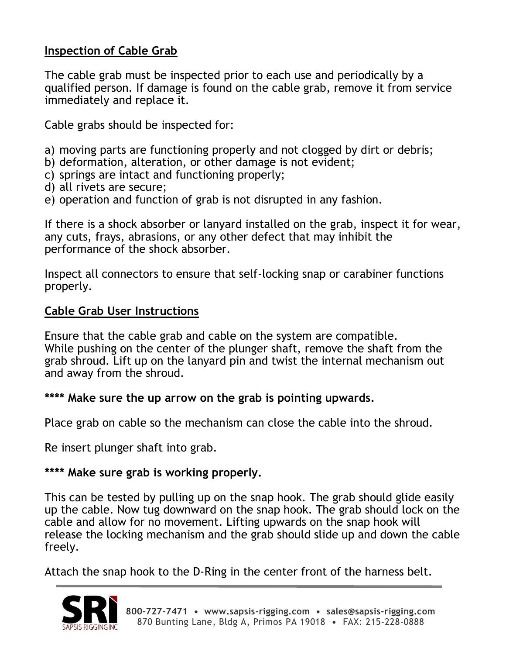#### **Inspection of Cable Grab**

The cable grab must be inspected prior to each use and periodically by a qualified person. If damage is found on the cable grab, remove it from service immediately and replace it.

Cable grabs should be inspected for:

- a) moving parts are functioning properly and not clogged by dirt or debris;
- b) deformation, alteration, or other damage is not evident;
- c) springs are intact and functioning properly;
- d) all rivets are secure;
- e) operation and function of grab is not disrupted in any fashion.

If there is a shock absorber or lanyard installed on the grab, inspect it for wear, any cuts, frays, abrasions, or any other defect that may inhibit the performance of the shock absorber.

Inspect all connectors to ensure that self-locking snap or carabiner functions properly.

#### **Cable Grab User Instructions**

Ensure that the cable grab and cable on the system are compatible. While pushing on the center of the plunger shaft, remove the shaft from the grab shroud. Lift up on the lanyard pin and twist the internal mechanism out and away from the shroud.

#### **\*\*\*\* Make sure the up arrow on the grab is pointing upwards.**

Place grab on cable so the mechanism can close the cable into the shroud.

Re insert plunger shaft into grab.

#### **\*\*\*\* Make sure grab is working properly.**

This can be tested by pulling up on the snap hook. The grab should glide easily up the cable. Now tug downward on the snap hook. The grab should lock on the cable and allow for no movement. Lifting upwards on the snap hook will release the locking mechanism and the grab should slide up and down the cable freely.

Attach the snap hook to the D-Ring in the center front of the harness belt.